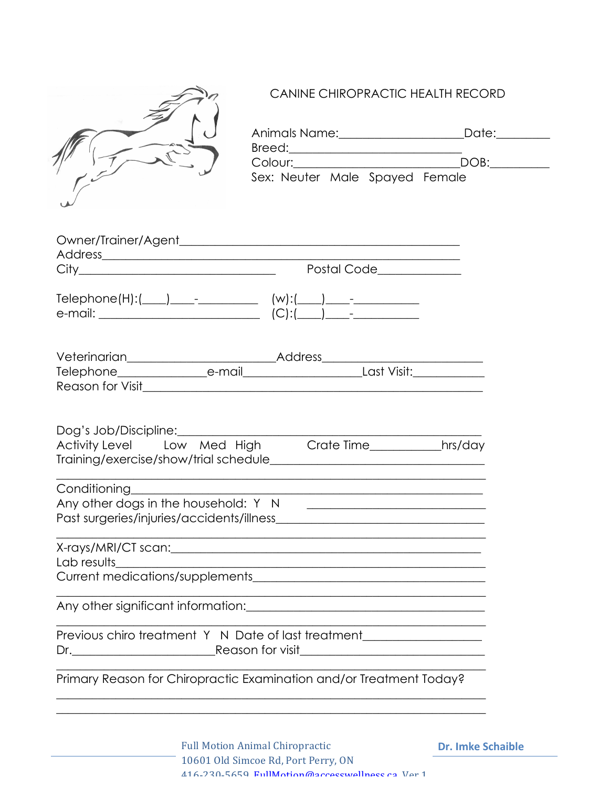

## CANINE CHIROPRACTIC HEALTH RECORD

|                        | Animals Name:<br>Breed: <u>_______</u> | Date: |
|------------------------|----------------------------------------|-------|
|                        | Colour: Executive Colour:              | DOB:  |
|                        | Sex: Neuter Male Spayed Female         |       |
| Owner/Trainer/Agent___ |                                        |       |
| Address_               |                                        |       |
| City                   | Postal Code                            |       |

| $Telephone(H):$ $\boxed{\qquad}$<br>$\sim$ $-$ | $(w)$ :(    |
|------------------------------------------------|-------------|
| e-mail:                                        | $(C):$ (C): |

| Veterinarian     | <b>Address</b> |             |  |
|------------------|----------------|-------------|--|
| Telephone        | e-mail         | Last Visit: |  |
| Reason for Visit |                |             |  |

| Dog's Job/Discipline:                 |  |            |         |
|---------------------------------------|--|------------|---------|
| Activity Level Low Med High           |  | Crate Time | hrs/day |
| Training/exercise/show/trial schedule |  |            |         |
|                                       |  |            |         |

| Conditioning                              |  |
|-------------------------------------------|--|
| Any other dogs in the household: Y N      |  |
| Past surgeries/injuries/accidents/illness |  |
|                                           |  |

| X-rays/MRI/CT scan:             |
|---------------------------------|
| Lab results                     |
| Current medications/supplements |
|                                 |

Any other significant information:\_\_\_\_\_\_\_\_\_\_\_\_\_\_\_\_\_\_\_\_\_\_\_\_\_\_\_\_\_\_\_\_\_\_\_\_\_\_\_\_

|    | Previous chiro treatment Y N Date of last treatment |  |
|----|-----------------------------------------------------|--|
| Dr | Reason for visit                                    |  |

Primary Reason for Chiropractic Examination and/or Treatment Today?

 $\_$  , and the set of the set of the set of the set of the set of the set of the set of the set of the set of the set of the set of the set of the set of the set of the set of the set of the set of the set of the set of th

 $\_$  , and the set of the set of the set of the set of the set of the set of the set of the set of the set of the set of the set of the set of the set of the set of the set of the set of the set of the set of the set of th

 $\_$  , and the set of the set of the set of the set of the set of the set of the set of the set of the set of the set of the set of the set of the set of the set of the set of the set of the set of the set of the set of th  $\_$  , and the set of the set of the set of the set of the set of the set of the set of the set of the set of the set of the set of the set of the set of the set of the set of the set of the set of the set of the set of th

**Dr. Imke Schaible**